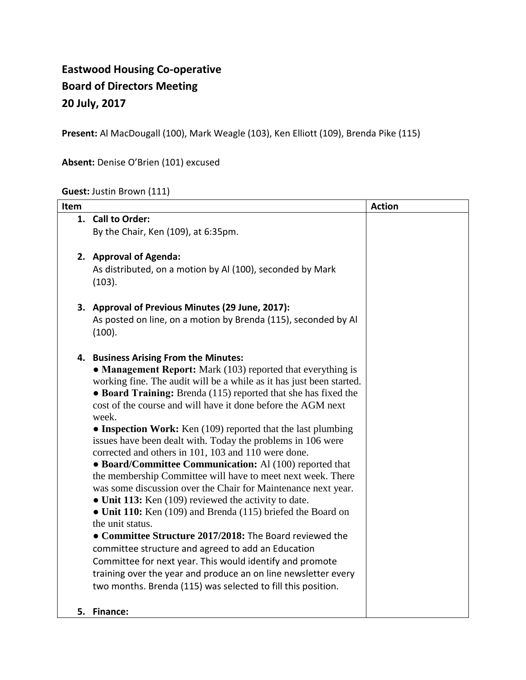# **Eastwood Housing Co-operative Board of Directors Meeting 20 July, 2017**

**Present:** Al MacDougall (100), Mark Weagle (103), Ken Elliott (109), Brenda Pike (115)

## **Absent:** Denise O'Brien (101) excused

## **Guest:** Justin Brown (111)

| Item |                                                                                                      | <b>Action</b> |
|------|------------------------------------------------------------------------------------------------------|---------------|
|      | 1. Call to Order:                                                                                    |               |
|      | By the Chair, Ken (109), at 6:35pm.                                                                  |               |
|      |                                                                                                      |               |
|      | 2. Approval of Agenda:                                                                               |               |
|      | As distributed, on a motion by Al (100), seconded by Mark<br>(103).                                  |               |
|      | 3. Approval of Previous Minutes (29 June, 2017):                                                     |               |
|      | As posted on line, on a motion by Brenda (115), seconded by Al                                       |               |
|      | (100).                                                                                               |               |
|      |                                                                                                      |               |
|      | 4. Business Arising From the Minutes:<br>• Management Report: Mark (103) reported that everything is |               |
|      | working fine. The audit will be a while as it has just been started.                                 |               |
|      | • Board Training: Brenda (115) reported that she has fixed the                                       |               |
|      | cost of the course and will have it done before the AGM next                                         |               |
|      | week.                                                                                                |               |
|      | • Inspection Work: Ken (109) reported that the last plumbing                                         |               |
|      | issues have been dealt with. Today the problems in 106 were                                          |               |
|      | corrected and others in 101, 103 and 110 were done.                                                  |               |
|      | • Board/Committee Communication: Al (100) reported that                                              |               |
|      | the membership Committee will have to meet next week. There                                          |               |
|      | was some discussion over the Chair for Maintenance next year.                                        |               |
|      | • Unit 113: Ken (109) reviewed the activity to date.                                                 |               |
|      | • Unit 110: Ken (109) and Brenda (115) briefed the Board on<br>the unit status.                      |               |
|      | • Committee Structure 2017/2018: The Board reviewed the                                              |               |
|      | committee structure and agreed to add an Education                                                   |               |
|      | Committee for next year. This would identify and promote                                             |               |
|      | training over the year and produce an on line newsletter every                                       |               |
|      | two months. Brenda (115) was selected to fill this position.                                         |               |
|      |                                                                                                      |               |
|      | 5. Finance:                                                                                          |               |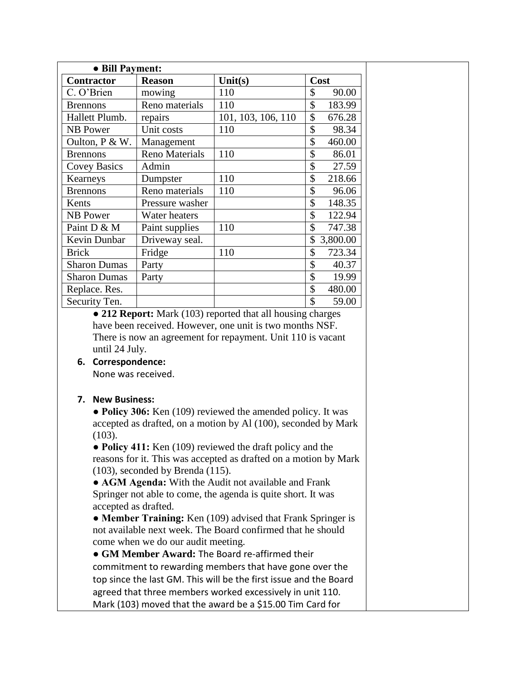| • Bill Payment:     |                       |                    |                |  |  |  |
|---------------------|-----------------------|--------------------|----------------|--|--|--|
| <b>Contractor</b>   | <b>Reason</b>         | Unit(s)            | Cost           |  |  |  |
| C. O'Brien          | mowing                | 110                | \$<br>90.00    |  |  |  |
| <b>Brennons</b>     | Reno materials        | 110                | \$<br>183.99   |  |  |  |
| Hallett Plumb.      | repairs               | 101, 103, 106, 110 | \$<br>676.28   |  |  |  |
| <b>NB</b> Power     | Unit costs            | 110                | \$<br>98.34    |  |  |  |
| Oulton, P & W.      | Management            |                    | \$<br>460.00   |  |  |  |
| <b>Brennons</b>     | <b>Reno Materials</b> | 110                | \$<br>86.01    |  |  |  |
| <b>Covey Basics</b> | Admin                 |                    | \$<br>27.59    |  |  |  |
| Kearneys            | Dumpster              | 110                | \$<br>218.66   |  |  |  |
| <b>Brennons</b>     | Reno materials        | 110                | \$<br>96.06    |  |  |  |
| Kents               | Pressure washer       |                    | \$<br>148.35   |  |  |  |
| NB Power            | Water heaters         |                    | \$<br>122.94   |  |  |  |
| Paint D & M         | Paint supplies        | 110                | \$<br>747.38   |  |  |  |
| Kevin Dunbar        | Driveway seal.        |                    | \$<br>3,800.00 |  |  |  |
| <b>Brick</b>        | Fridge                | 110                | 723.34<br>\$   |  |  |  |
| <b>Sharon Dumas</b> | Party                 |                    | \$<br>40.37    |  |  |  |
| <b>Sharon Dumas</b> | Party                 |                    | \$<br>19.99    |  |  |  |
| Replace. Res.       |                       |                    | \$<br>480.00   |  |  |  |
| Security Ten.       |                       |                    | \$<br>59.00    |  |  |  |

 **● 212 Report:** Mark (103) reported that all housing charges have been received. However, one unit is two months NSF. There is now an agreement for repayment. Unit 110 is vacant until 24 July.

#### **6. Correspondence:**

None was received.

#### **7. New Business:**

**● Policy 306:** Ken (109) reviewed the amended policy. It was accepted as drafted, on a motion by Al (100), seconded by Mark (103).

**● Policy 411:** Ken (109) reviewed the draft policy and the reasons for it. This was accepted as drafted on a motion by Mark (103), seconded by Brenda (115).

**● AGM Agenda:** With the Audit not available and Frank Springer not able to come, the agenda is quite short. It was accepted as drafted.

**● Member Training:** Ken (109) advised that Frank Springer is not available next week. The Board confirmed that he should come when we do our audit meeting.

**● GM Member Award:** The Board re-affirmed their commitment to rewarding members that have gone over the top since the last GM. This will be the first issue and the Board agreed that three members worked excessively in unit 110. Mark (103) moved that the award be a \$15.00 Tim Card for